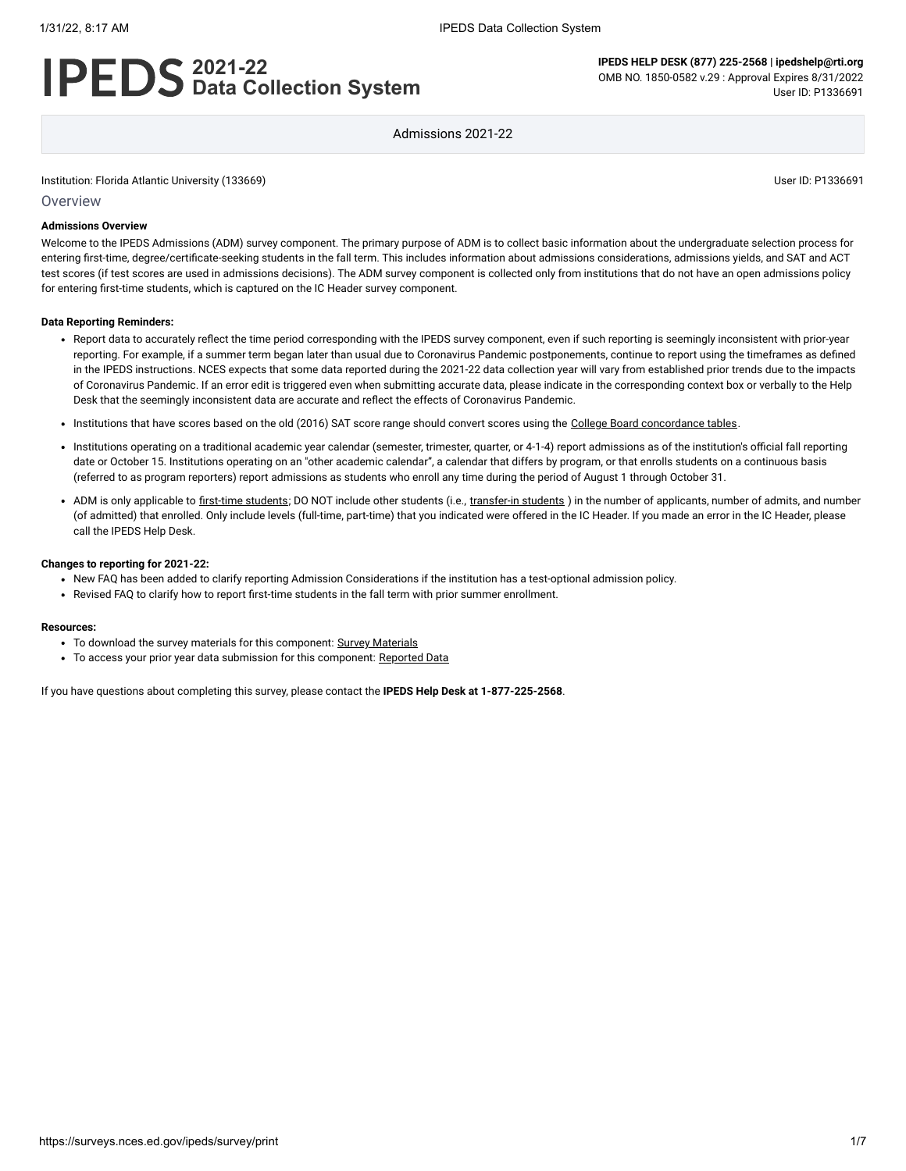# **2021-22 Data Collection System**

**IPEDS HELP DESK (877) 225-2568 | ipedshelp@rti.org** OMB NO. 1850-0582 v.29 : Approval Expires 8/31/2022 User ID: P1336691

Admissions 2021-22

Institution: Florida Atlantic University (133669) User ID: P1336691

**Overview** 

#### **Admissions Overview**

Welcome to the IPEDS Admissions (ADM) survey component. The primary purpose of ADM is to collect basic information about the undergraduate selection process for entering first-time, degree/certificate-seeking students in the fall term. This includes information about admissions considerations, admissions yields, and SAT and ACT test scores (if test scores are used in admissions decisions). The ADM survey component is collected only from institutions that do not have an open admissions policy for entering first-time students, which is captured on the IC Header survey component.

#### **Data Reporting Reminders:**

- Report data to accurately reflect the time period corresponding with the IPEDS survey component, even if such reporting is seemingly inconsistent with prior-year reporting. For example, if a summer term began later than usual due to Coronavirus Pandemic postponements, continue to report using the timeframes as defined in the IPEDS instructions. NCES expects that some data reported during the 2021-22 data collection year will vary from established prior trends due to the impacts of Coronavirus Pandemic. If an error edit is triggered even when submitting accurate data, please indicate in the corresponding context box or verbally to the Help Desk that the seemingly inconsistent data are accurate and reflect the effects of Coronavirus Pandemic.
- . Institutions that have scores based on the old (2016) SAT score range should convert scores using the [College Board concordance tables](https://collegereadiness.collegeboard.org/educators/higher-ed/scoring-changes/concordance).
- Institutions operating on a traditional academic year calendar (semester, trimester, quarter, or 4-1-4) report admissions as of the institution's official fall reporting date or October 15. Institutions operating on an "other academic calendar", a calendar that differs by program, or that enrolls students on a continuous basis (referred to as program reporters) report admissions as students who enroll any time during the period of August 1 through October 31.
- ADM is only applicable to [first-time students](javascript:openglossary(241)); DO NOT include other students (i.e., [transfer-in students](javascript:openglossary(1087)) ) in the number of applicants, number of admits, and number (of admitted) that enrolled. Only include levels (full-time, part-time) that you indicated were offered in the IC Header. If you made an error in the IC Header, please call the IPEDS Help Desk.

#### **Changes to reporting for 2021-22:**

- New FAQ has been added to clarify reporting Admission Considerations if the institution has a test-optional admission policy.
- Revised FAQ to clarify how to report first-time students in the fall term with prior summer enrollment.

#### **Resources:**

- To download the survey materials for this component: Survey [Materials](https://surveys.nces.ed.gov/ipeds/public/survey-materials/index)
- To access your prior year data submission for this component: [Reported Data](javascript:openReportedData(133669, 14))

If you have questions about completing this survey, please contact the **IPEDS Help Desk at 1-877-225-2568**.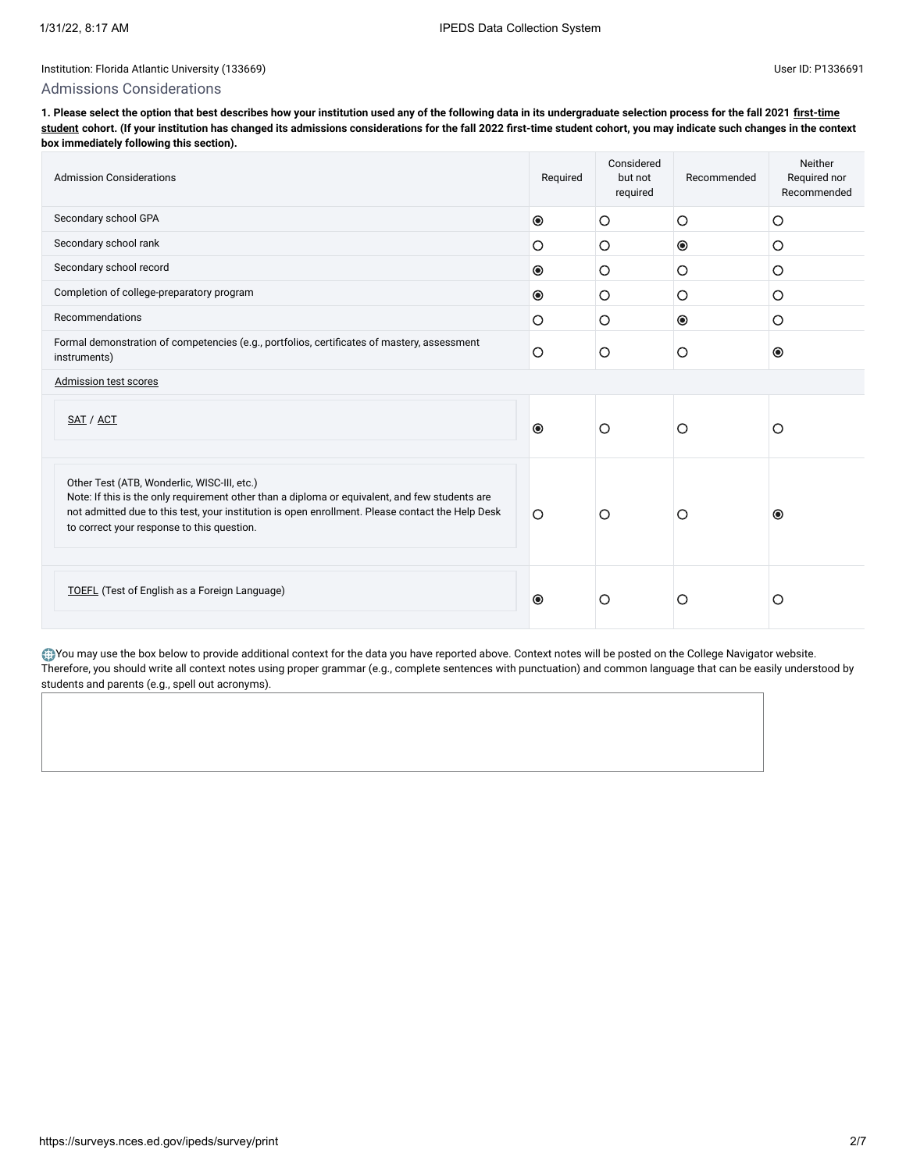#### Admissions Considerations

**[1. Please select the option that best describes how your institution used any of the following data in its undergraduate selection process for the fall 2021 first-time](javascript:openglossary(241)) student cohort. (If your institution has changed its admissions considerations for the fall 2022 first-time student cohort, you may indicate such changes in the context box immediately following this section).**

| <b>Admission Considerations</b>                                                                                                                                                                                                                                                                 | Required       | Considered<br>but not<br>required | Recommended    | Neither<br>Required nor<br>Recommended |
|-------------------------------------------------------------------------------------------------------------------------------------------------------------------------------------------------------------------------------------------------------------------------------------------------|----------------|-----------------------------------|----------------|----------------------------------------|
| Secondary school GPA                                                                                                                                                                                                                                                                            | $\circledcirc$ | O                                 | $\circ$        | O                                      |
| Secondary school rank                                                                                                                                                                                                                                                                           | $\circ$        | O                                 | $\circledcirc$ | O                                      |
| Secondary school record                                                                                                                                                                                                                                                                         | $\bullet$      | O                                 | $\circ$        | O                                      |
| Completion of college-preparatory program                                                                                                                                                                                                                                                       | $\bullet$      | O                                 | $\circ$        | O                                      |
| Recommendations                                                                                                                                                                                                                                                                                 | $\circ$        | O                                 | $\bullet$      | O                                      |
| Formal demonstration of competencies (e.g., portfolios, certificates of mastery, assessment<br>instruments)                                                                                                                                                                                     |                | O                                 | O              | $\circledcirc$                         |
| Admission test scores                                                                                                                                                                                                                                                                           |                |                                   |                |                                        |
| SAT / ACT                                                                                                                                                                                                                                                                                       | $\bullet$      | $\circ$                           | О              | O                                      |
| Other Test (ATB, Wonderlic, WISC-III, etc.)<br>Note: If this is the only requirement other than a diploma or equivalent, and few students are<br>not admitted due to this test, your institution is open enrollment. Please contact the Help Desk<br>to correct your response to this question. | $\circ$        | O                                 | О              | $\bullet$                              |
| <b>TOEFL</b> (Test of English as a Foreign Language)                                                                                                                                                                                                                                            | $\odot$        | О                                 | Ο              | O                                      |

You may use the box below to provide additional context for the data you have reported above. Context notes will be posted on the College Navigator website. Therefore, you should write all context notes using proper grammar (e.g., complete sentences with punctuation) and common language that can be easily understood by students and parents (e.g., spell out acronyms).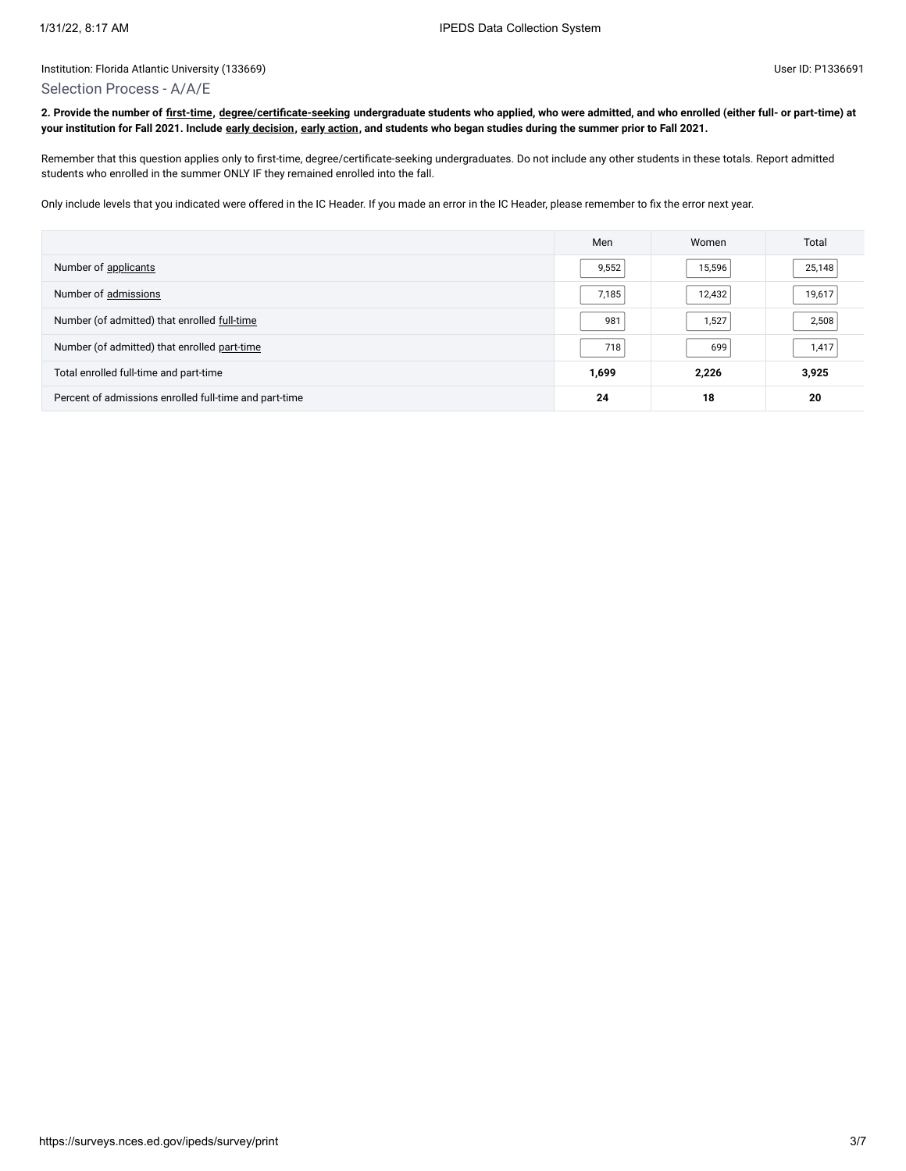#### Selection Process - A/A/E

**2. Provide the number of [first-time](javascript:openglossary(241)), [degree/certificate-seeking](javascript:openglossary(171)) undergraduate students who applied, who were admitted, and who enrolled (either full- or part-time) at your institution for Fall 2021. Include [early decision,](javascript:openglossary(705)) [early action](javascript:openglossary(703)), and students who began studies during the summer prior to Fall 2021.**

Remember that this question applies only to first-time, degree/certificate-seeking undergraduates. Do not include any other students in these totals. Report admitted students who enrolled in the summer ONLY IF they remained enrolled into the fall.

Only include levels that you indicated were offered in the IC Header. If you made an error in the IC Header, please remember to fix the error next year.

|                                                        | Men   | Women  | Total  |
|--------------------------------------------------------|-------|--------|--------|
| Number of applicants                                   | 9,552 | 15,596 | 25,148 |
| Number of admissions                                   | 7,185 | 12,432 | 19,617 |
| Number (of admitted) that enrolled full-time           | 981   | 1,527  | 2,508  |
| Number (of admitted) that enrolled part-time           | 718   | 699    | 1,417  |
| Total enrolled full-time and part-time                 | 1,699 | 2,226  | 3,925  |
| Percent of admissions enrolled full-time and part-time | 24    | 18     | 20     |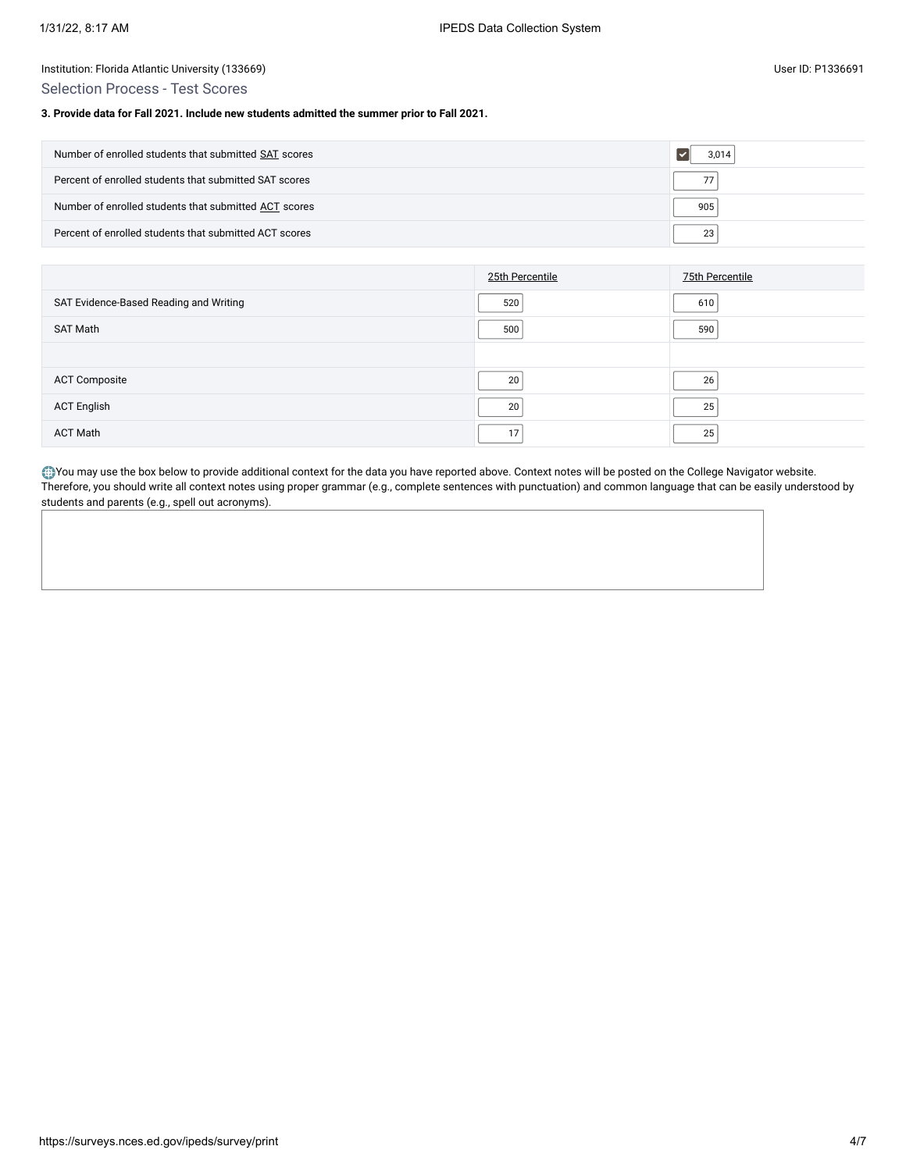Selection Process - Test Scores

### **3. Provide data for Fall 2021. Include new students admitted the summer prior to Fall 2021.**

| Number of enrolled students that submitted SAT scores  | 3.014 |
|--------------------------------------------------------|-------|
| Percent of enrolled students that submitted SAT scores | 77    |
| Number of enrolled students that submitted ACT scores  | 905   |
| Percent of enrolled students that submitted ACT scores | 23    |

|                                        | 25th Percentile | 75th Percentile |
|----------------------------------------|-----------------|-----------------|
| SAT Evidence-Based Reading and Writing | 520             | 610             |
| SAT Math                               | 500             | 590             |
|                                        |                 |                 |
| <b>ACT Composite</b>                   | 20              | 26              |
| <b>ACT English</b>                     | 20              | 25              |
| <b>ACT Math</b>                        | 17              | 25              |

You may use the box below to provide additional context for the data you have reported above. Context notes will be posted on the College Navigator website. Therefore, you should write all context notes using proper grammar (e.g., complete sentences with punctuation) and common language that can be easily understood by students and parents (e.g., spell out acronyms).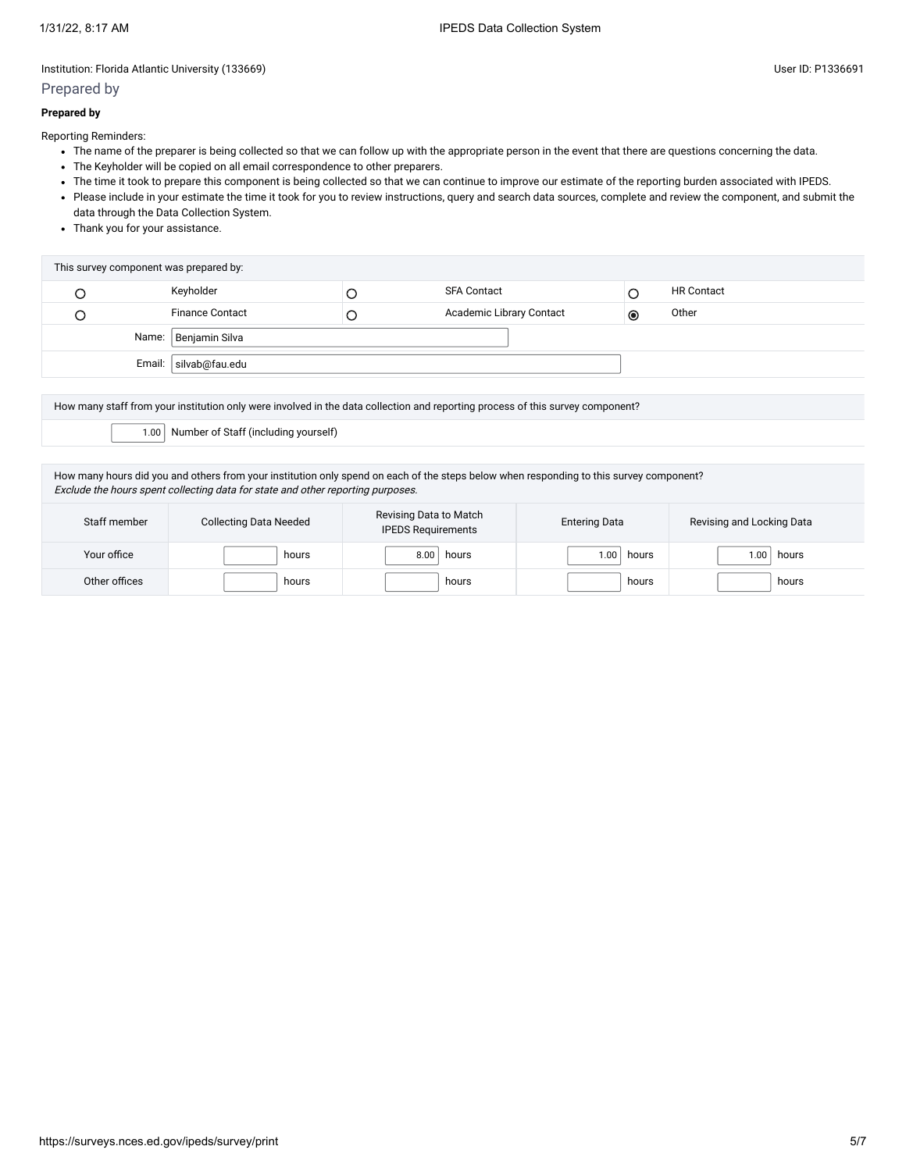## Prepared by

## **Prepared by**

Reporting Reminders:

- The name of the preparer is being collected so that we can follow up with the appropriate person in the event that there are questions concerning the data.
- The Keyholder will be copied on all email correspondence to other preparers.
- The time it took to prepare this component is being collected so that we can continue to improve our estimate of the reporting burden associated with IPEDS.
- Please include in your estimate the time it took for you to review instructions, query and search data sources, complete and review the component, and submit the data through the Data Collection System.
- Thank you for your assistance.

| This survey component was prepared by: |                          |   |                          |           |                   |  |
|----------------------------------------|--------------------------|---|--------------------------|-----------|-------------------|--|
|                                        | Keyholder                |   | <b>SFA Contact</b>       |           | <b>HR Contact</b> |  |
|                                        | <b>Finance Contact</b>   | Ć | Academic Library Contact | $\bullet$ | Other             |  |
| Name: Benjamin Silva                   |                          |   |                          |           |                   |  |
|                                        | Email:<br>silvab@fau.edu |   |                          |           |                   |  |

How many staff from your institution only were involved in the data collection and reporting process of this survey component? 1.00 Number of Staff (including yourself)

How many hours did you and others from your institution only spend on each of the steps below when responding to this survey component? Exclude the hours spent collecting data for state and other reporting purposes.

| Staff member  | <b>Collecting Data Needed</b> | Revising Data to Match<br><b>IPEDS Requirements</b> | <b>Entering Data</b> | Revising and Locking Data |
|---------------|-------------------------------|-----------------------------------------------------|----------------------|---------------------------|
| Your office   | hours                         | 8.00<br>hours                                       | hours<br>.00         | hours<br>ا ١.٥٥           |
| Other offices | hours                         | hours                                               | hours                | hours                     |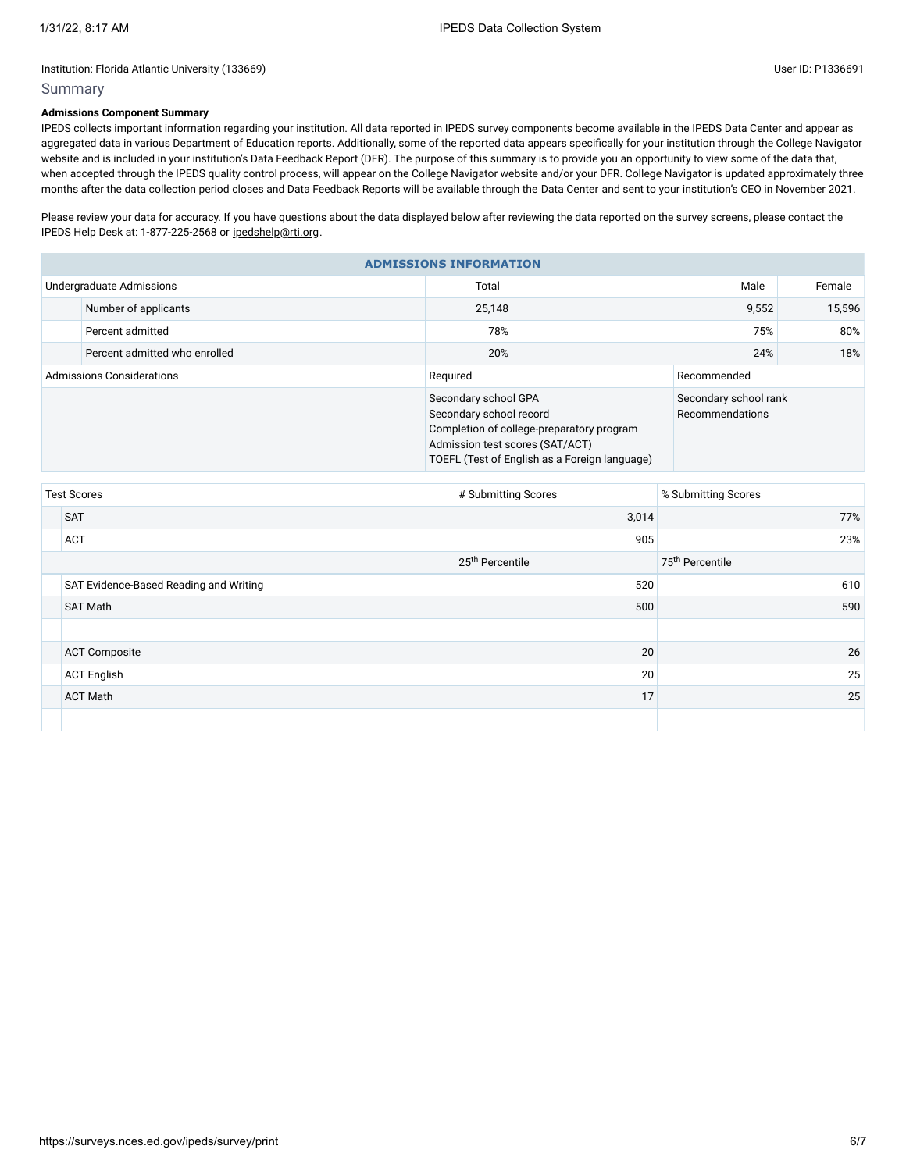# Summary

# **Admissions Component Summary**

IPEDS collects important information regarding your institution. All data reported in IPEDS survey components become available in the IPEDS Data Center and appear as aggregated data in various Department of Education reports. Additionally, some of the reported data appears specifically for your institution through the College Navigator website and is included in your institution's Data Feedback Report (DFR). The purpose of this summary is to provide you an opportunity to view some of the data that, when accepted through the IPEDS quality control process, will appear on the College Navigator website and/or your DFR. College Navigator is updated approximately three months after the data collection period closes and Data Feedback Reports will be available through the Data [Center](https://nces.ed.gov/ipeds/use-the-data) and sent to your institution's CEO in November 2021.

Please review your data for accuracy. If you have questions about the data displayed below after reviewing the data reported on the survey screens, please contact the IPEDS Help Desk at: 1-877-225-2568 or [ipedshelp@rti.org.](mailto:ipedshelp@rti.org)

|                                  | <b>ADMISSIONS INFORMATION</b> |                                                                                    |                                                                                            |                                          |        |  |  |
|----------------------------------|-------------------------------|------------------------------------------------------------------------------------|--------------------------------------------------------------------------------------------|------------------------------------------|--------|--|--|
|                                  | Undergraduate Admissions      | Total                                                                              | Male                                                                                       |                                          | Female |  |  |
|                                  | Number of applicants          | 25,148                                                                             | 9,552                                                                                      |                                          | 15,596 |  |  |
|                                  | Percent admitted              | 78%                                                                                |                                                                                            | 75%                                      |        |  |  |
|                                  | Percent admitted who enrolled | 20%                                                                                |                                                                                            | 24%                                      |        |  |  |
| <b>Admissions Considerations</b> |                               | Required                                                                           | Recommended                                                                                |                                          |        |  |  |
|                                  |                               | Secondary school GPA<br>Secondary school record<br>Admission test scores (SAT/ACT) | Completion of college-preparatory program<br>TOEFL (Test of English as a Foreign language) | Secondary school rank<br>Recommendations |        |  |  |

| <b>Test Scores</b>                     | # Submitting Scores         | % Submitting Scores         |
|----------------------------------------|-----------------------------|-----------------------------|
| <b>SAT</b>                             | 3,014                       | 77%                         |
| ACT                                    | 905                         | 23%                         |
|                                        | 25 <sup>th</sup> Percentile | 75 <sup>th</sup> Percentile |
| SAT Evidence-Based Reading and Writing | 520                         | 610                         |
| <b>SAT Math</b>                        | 500                         | 590                         |
|                                        |                             |                             |
| <b>ACT Composite</b>                   | 20                          | 26                          |
| <b>ACT English</b>                     | 20                          | 25                          |
| <b>ACT Math</b>                        | 17                          | 25                          |
|                                        |                             |                             |